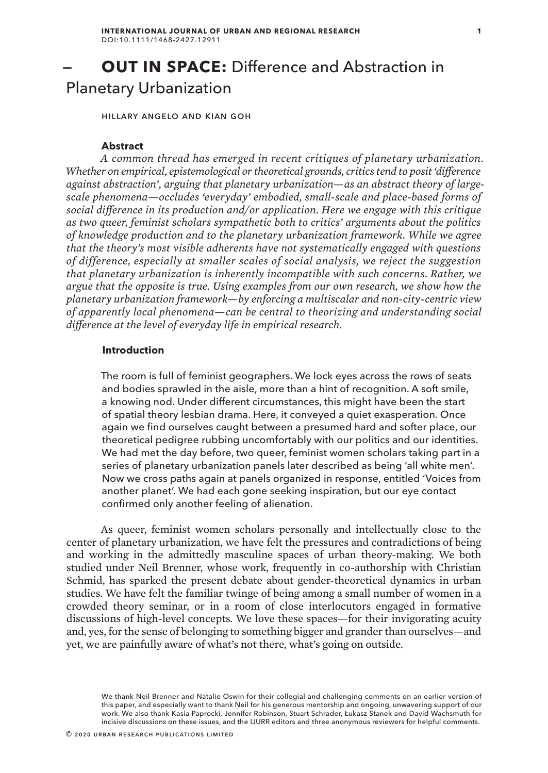# **OUT IN SPACE:** Difference and Abstraction in Planetary Urbanization

HILLARY ANGELO and KIAN GOH

### **Abstract**

*A common thread has emerged in recent critiques of planetary urbanization. Whether on empirical, epistemological or theoretical grounds, critics tend to posit 'difference against abstraction', arguing that planetary urbanization––as an abstract theory of largescale phenomena––occludes 'everyday' embodied, small-scale and place-based forms of social difference in its production and/or application. Here we engage with this critique as two queer, feminist scholars sympathetic both to critics' arguments about the politics of knowledge production and to the planetary urbanization framework. While we agree that the theory's most visible adherents have not systematically engaged with questions of difference, especially at smaller scales of social analysis, we reject the suggestion that planetary urbanization is inherently incompatible with such concerns. Rather, we argue that the opposite is true. Using examples from our own research, we show how the planetary urbanization framework––by enforcing a multiscalar and non-city-centric view of apparently local phenomena––can be central to theorizing and understanding social difference at the level of everyday life in empirical research.*

### **Introduction**

The room is full of feminist geographers. We lock eyes across the rows of seats and bodies sprawled in the aisle, more than a hint of recognition. A soft smile, a knowing nod. Under different circumstances, this might have been the start of spatial theory lesbian drama. Here, it conveyed a quiet exasperation. Once again we find ourselves caught between a presumed hard and softer place, our theoretical pedigree rubbing uncomfortably with our politics and our identities. We had met the day before, two queer, feminist women scholars taking part in a series of planetary urbanization panels later described as being 'all white men'. Now we cross paths again at panels organized in response, entitled 'Voices from another planet'. We had each gone seeking inspiration, but our eye contact confirmed only another feeling of alienation.

As queer, feminist women scholars personally and intellectually close to the center of planetary urbanization, we have felt the pressures and contradictions of being and working in the admittedly masculine spaces of urban theory-making. We both studied under Neil Brenner, whose work, frequently in co-authorship with Christian Schmid, has sparked the present debate about gender-theoretical dynamics in urban studies. We have felt the familiar twinge of being among a small number of women in a crowded theory seminar, or in a room of close interlocutors engaged in formative discussions of high-level concepts. We love these spaces––for their invigorating acuity and, yes, for the sense of belonging to something bigger and grander than ourselves––and yet, we are painfully aware of what's not there, what's going on outside.

We thank Neil Brenner and Natalie Oswin for their collegial and challenging comments on an earlier version of this paper, and especially want to thank Neil for his generous mentorship and ongoing, unwavering support of our work. We also thank Kasia Paprocki, Jennifer Robinson, Stuart Schrader, Łukasz Stanek and David Wachsmuth for incisive discussions on these issues, and the IJURR editors and three anonymous reviewers for helpful comments.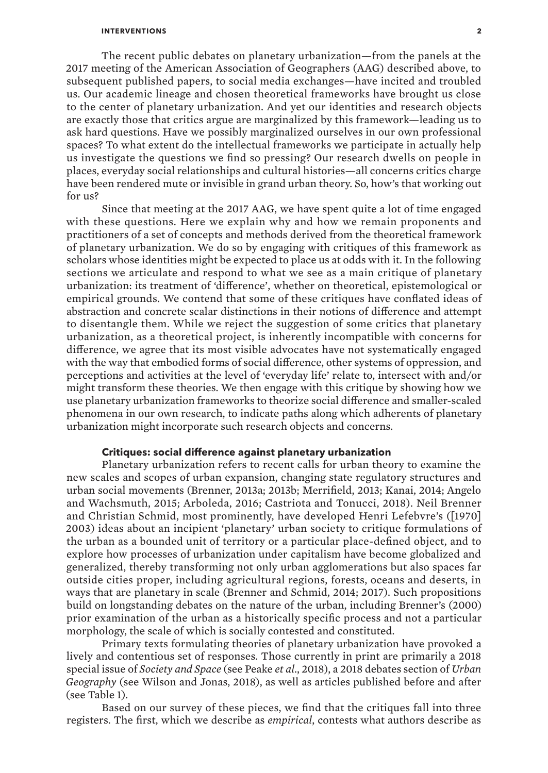The recent public debates on planetary urbanization––from the panels at the 2017 meeting of the American Association of Geographers (AAG) described above, to subsequent published papers, to social media exchanges––have incited and troubled us. Our academic lineage and chosen theoretical frameworks have brought us close to the center of planetary urbanization. And yet our identities and research objects are exactly those that critics argue are marginalized by this framework––leading us to ask hard questions. Have we possibly marginalized ourselves in our own professional spaces? To what extent do the intellectual frameworks we participate in actually help us investigate the questions we find so pressing? Our research dwells on people in places, everyday social relationships and cultural histories––all concerns critics charge have been rendered mute or invisible in grand urban theory. So, how's that working out for us?

Since that meeting at the 2017 AAG, we have spent quite a lot of time engaged with these questions. Here we explain why and how we remain proponents and practitioners of a set of concepts and methods derived from the theoretical framework of planetary urbanization. We do so by engaging with critiques of this framework as scholars whose identities might be expected to place us at odds with it. In the following sections we articulate and respond to what we see as a main critique of planetary urbanization: its treatment of 'difference', whether on theoretical, epistemological or empirical grounds. We contend that some of these critiques have conflated ideas of abstraction and concrete scalar distinctions in their notions of difference and attempt to disentangle them. While we reject the suggestion of some critics that planetary urbanization, as a theoretical project, is inherently incompatible with concerns for difference, we agree that its most visible advocates have not systematically engaged with the way that embodied forms of social difference, other systems of oppression, and perceptions and activities at the level of 'everyday life' relate to, intersect with and/or might transform these theories. We then engage with this critique by showing how we use planetary urbanization frameworks to theorize social difference and smaller-scaled phenomena in our own research, to indicate paths along which adherents of planetary urbanization might incorporate such research objects and concerns.

### **Critiques: social difference against planetary urbanization**

Planetary urbanization refers to recent calls for urban theory to examine the new scales and scopes of urban expansion, changing state regulatory structures and urban social movements (Brenner, 2013a; 2013b; Merrifield, 2013; Kanai, 2014; Angelo and Wachsmuth, 2015; Arboleda, 2016; Castriota and Tonucci, 2018). Neil Brenner and Christian Schmid, most prominently, have developed Henri Lefebvre's ([1970] 2003) ideas about an incipient 'planetary' urban society to critique formulations of the urban as a bounded unit of territory or a particular place-defined object, and to explore how processes of urbanization under capitalism have become globalized and generalized, thereby transforming not only urban agglomerations but also spaces far outside cities proper, including agricultural regions, forests, oceans and deserts, in ways that are planetary in scale (Brenner and Schmid, 2014; 2017). Such propositions build on longstanding debates on the nature of the urban, including Brenner's (2000) prior examination of the urban as a historically specific process and not a particular morphology, the scale of which is socially contested and constituted.

Primary texts formulating theories of planetary urbanization have provoked a lively and contentious set of responses. Those currently in print are primarily a 2018 special issue of *Society and Space* (see Peake *et al*., 2018), a 2018 debates section of *Urban Geography* (see Wilson and Jonas, 2018), as well as articles published before and after (see Table 1).

Based on our survey of these pieces, we find that the critiques fall into three registers. The first, which we describe as *empirical*, contests what authors describe as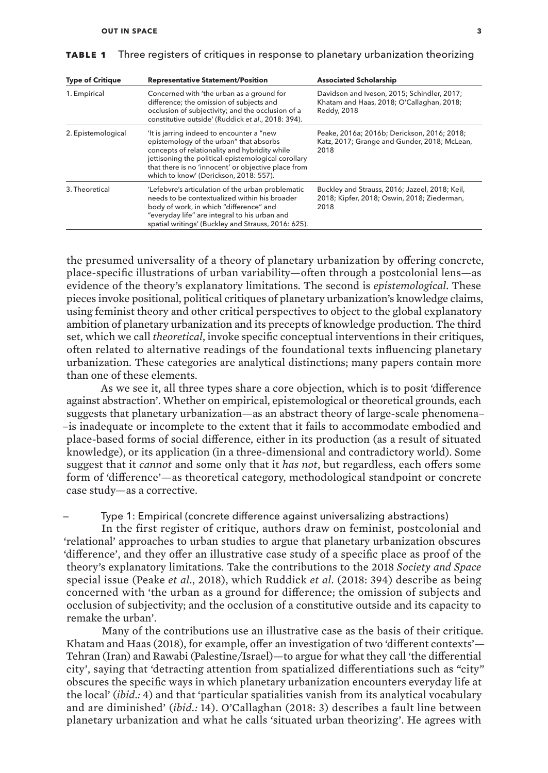| <b>Type of Critique</b> | <b>Representative Statement/Position</b>                                                                                                                                                                                                                                                      | <b>Associated Scholarship</b>                                                                           |
|-------------------------|-----------------------------------------------------------------------------------------------------------------------------------------------------------------------------------------------------------------------------------------------------------------------------------------------|---------------------------------------------------------------------------------------------------------|
| 1. Empirical            | Concerned with 'the urban as a ground for<br>difference; the omission of subjects and<br>occlusion of subjectivity; and the occlusion of a<br>constitutive outside' (Ruddick et al., 2018: 394).                                                                                              | Davidson and Iveson, 2015; Schindler, 2017;<br>Khatam and Haas, 2018; O'Callaghan, 2018;<br>Reddy, 2018 |
| 2. Epistemological      | 'It is jarring indeed to encounter a "new<br>epistemology of the urban" that absorbs<br>concepts of relationality and hybridity while<br>jettisoning the political-epistemological corollary<br>that there is no 'innocent' or objective place from<br>which to know' (Derickson, 2018: 557). | Peake, 2016a; 2016b; Derickson, 2016; 2018;<br>Katz, 2017; Grange and Gunder, 2018; McLean,<br>2018     |
| 3. Theoretical          | 'Lefebvre's articulation of the urban problematic<br>needs to be contextualized within his broader<br>body of work, in which "difference" and<br>"everyday life" are integral to his urban and<br>spatial writings' (Buckley and Strauss, 2016: 625).                                         | Buckley and Strauss, 2016; Jazeel, 2018; Keil,<br>2018; Kipfer, 2018; Oswin, 2018; Ziederman,<br>2018   |

| TABLE 1 |  | Three registers of critiques in response to planetary urbanization theorizing |
|---------|--|-------------------------------------------------------------------------------|
|---------|--|-------------------------------------------------------------------------------|

the presumed universality of a theory of planetary urbanization by offering concrete, place-specific illustrations of urban variability––often through a postcolonial lens––as evidence of the theory's explanatory limitations. The second is *epistemological*. These pieces invoke positional, political critiques of planetary urbanization's knowledge claims, using feminist theory and other critical perspectives to object to the global explanatory ambition of planetary urbanization and its precepts of knowledge production. The third set, which we call *theoretical*, invoke specific conceptual interventions in their critiques, often related to alternative readings of the foundational texts influencing planetary urbanization. These categories are analytical distinctions; many papers contain more than one of these elements.

As we see it, all three types share a core objection, which is to posit 'difference against abstraction'. Whether on empirical, epistemological or theoretical grounds, each suggests that planetary urbanization––as an abstract theory of large-scale phenomena– –is inadequate or incomplete to the extent that it fails to accommodate embodied and place-based forms of social difference, either in its production (as a result of situated knowledge), or its application (in a three-dimensional and contradictory world). Some suggest that it *cannot* and some only that it *has not*, but regardless, each offers some form of 'difference'––as theoretical category, methodological standpoint or concrete case study––as a corrective.

— Type 1: Empirical (concrete difference against universalizing abstractions)

In the first register of critique, authors draw on feminist, postcolonial and 'relational' approaches to urban studies to argue that planetary urbanization obscures 'difference', and they offer an illustrative case study of a specific place as proof of the theory's explanatory limitations. Take the contributions to the 2018 *Society and Space* special issue (Peake *et al*., 2018), which Ruddick *et al*. (2018: 394) describe as being concerned with 'the urban as a ground for difference; the omission of subjects and occlusion of subjectivity; and the occlusion of a constitutive outside and its capacity to remake the urban'.

Many of the contributions use an illustrative case as the basis of their critique. Khatam and Haas (2018), for example, offer an investigation of two 'different contexts'–– Tehran (Iran) and Rawabi (Palestine/Israel)––to argue for what they call 'the differential city', saying that 'detracting attention from spatialized differentiations such as "city" obscures the specific ways in which planetary urbanization encounters everyday life at the local' (*ibid*.*:* 4) and that 'particular spatialities vanish from its analytical vocabulary and are diminished' (*ibid.:* 14). O'Callaghan (2018: 3) describes a fault line between planetary urbanization and what he calls 'situated urban theorizing'. He agrees with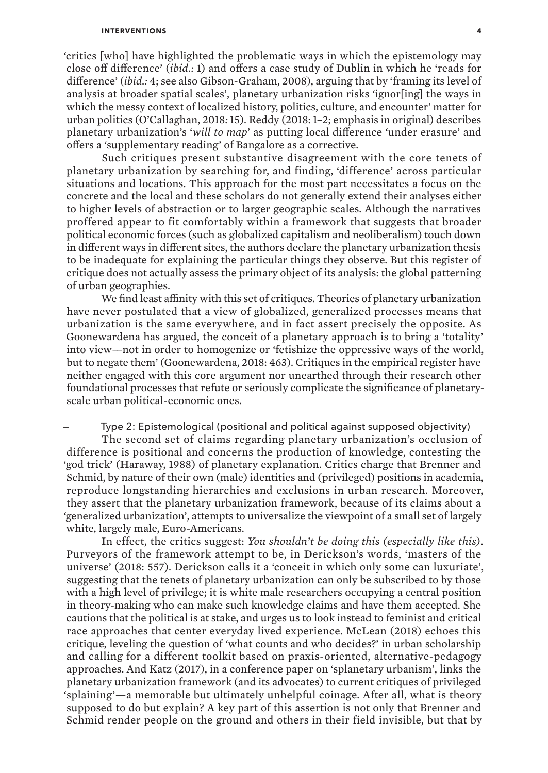'critics [who] have highlighted the problematic ways in which the epistemology may close off difference' (*ibid.:* 1) and offers a case study of Dublin in which he 'reads for difference' (*ibid.:* 4; see also Gibson-Graham, 2008), arguing that by 'framing its level of analysis at broader spatial scales', planetary urbanization risks 'ignor[ing] the ways in which the messy context of localized history, politics, culture, and encounter' matter for urban politics (O'Callaghan, 2018*:* 15). Reddy (2018: 1–2; emphasis in original) describes planetary urbanization's '*will to map*' as putting local difference 'under erasure' and offers a 'supplementary reading' of Bangalore as a corrective.

Such critiques present substantive disagreement with the core tenets of planetary urbanization by searching for, and finding, 'difference' across particular situations and locations. This approach for the most part necessitates a focus on the concrete and the local and these scholars do not generally extend their analyses either to higher levels of abstraction or to larger geographic scales. Although the narratives proffered appear to fit comfortably within a framework that suggests that broader political economic forces (such as globalized capitalism and neoliberalism) touch down in different ways in different sites, the authors declare the planetary urbanization thesis to be inadequate for explaining the particular things they observe. But this register of critique does not actually assess the primary object of its analysis: the global patterning of urban geographies.

We find least affinity with this set of critiques. Theories of planetary urbanization have never postulated that a view of globalized, generalized processes means that urbanization is the same everywhere, and in fact assert precisely the opposite. As Goonewardena has argued, the conceit of a planetary approach is to bring a 'totality' into view––not in order to homogenize or 'fetishize the oppressive ways of the world, but to negate them' (Goonewardena, 2018: 463). Critiques in the empirical register have neither engaged with this core argument nor unearthed through their research other foundational processes that refute or seriously complicate the significance of planetaryscale urban political-economic ones.

— Type 2: Epistemological (positional and political against supposed objectivity)

The second set of claims regarding planetary urbanization's occlusion of difference is positional and concerns the production of knowledge, contesting the 'god trick' (Haraway, 1988) of planetary explanation. Critics charge that Brenner and Schmid, by nature of their own (male) identities and (privileged) positions in academia, reproduce longstanding hierarchies and exclusions in urban research. Moreover, they assert that the planetary urbanization framework, because of its claims about a 'generalized urbanization', attempts to universalize the viewpoint of a small set of largely white, largely male, Euro-Americans.

In effect, the critics suggest: *You shouldn't be doing this (especially like this)*. Purveyors of the framework attempt to be, in Derickson's words, 'masters of the universe' (2018: 557). Derickson calls it a 'conceit in which only some can luxuriate', suggesting that the tenets of planetary urbanization can only be subscribed to by those with a high level of privilege; it is white male researchers occupying a central position in theory-making who can make such knowledge claims and have them accepted. She cautions that the political is at stake, and urges us to look instead to feminist and critical race approaches that center everyday lived experience. McLean (2018) echoes this critique, leveling the question of 'what counts and who decides?' in urban scholarship and calling for a different toolkit based on praxis-oriented, alternative-pedagogy approaches. And Katz (2017), in a conference paper on 'splanetary urbanism', links the planetary urbanization framework (and its advocates) to current critiques of privileged 'splaining'––a memorable but ultimately unhelpful coinage. After all, what is theory supposed to do but explain? A key part of this assertion is not only that Brenner and Schmid render people on the ground and others in their field invisible, but that by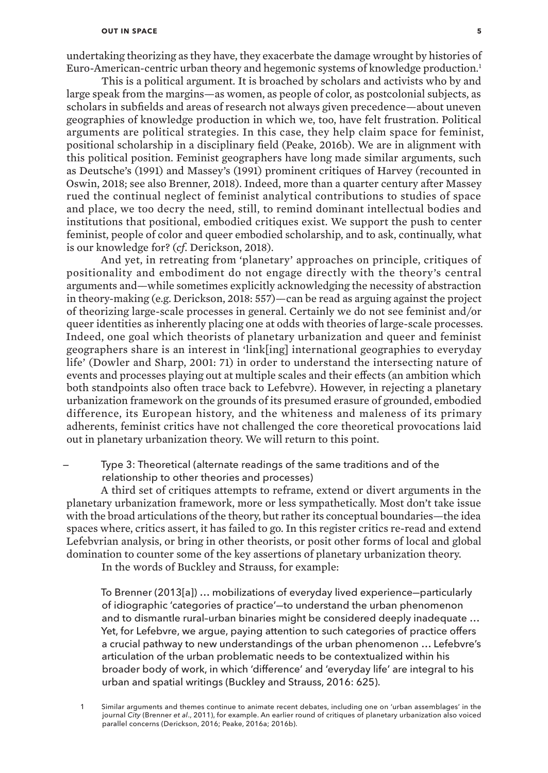This is a political argument. It is broached by scholars and activists who by and large speak from the margins––as women, as people of color, as postcolonial subjects, as scholars in subfields and areas of research not always given precedence––about uneven geographies of knowledge production in which we, too, have felt frustration. Political arguments are political strategies. In this case, they help claim space for feminist, positional scholarship in a disciplinary field (Peake, 2016b). We are in alignment with this political position. Feminist geographers have long made similar arguments, such as Deutsche's (1991) and Massey's (1991) prominent critiques of Harvey (recounted in Oswin, 2018; see also Brenner, 2018). Indeed, more than a quarter century after Massey rued the continual neglect of feminist analytical contributions to studies of space and place, we too decry the need, still, to remind dominant intellectual bodies and institutions that positional, embodied critiques exist. We support the push to center feminist, people of color and queer embodied scholarship, and to ask, continually, what is our knowledge for? (*cf*. Derickson, 2018).

And yet, in retreating from 'planetary' approaches on principle, critiques of positionality and embodiment do not engage directly with the theory's central arguments and––while sometimes explicitly acknowledging the necessity of abstraction in theory-making (e.g. Derickson, 2018: 557)––can be read as arguing against the project of theorizing large-scale processes in general. Certainly we do not see feminist and/or queer identities as inherently placing one at odds with theories of large-scale processes. Indeed, one goal which theorists of planetary urbanization and queer and feminist geographers share is an interest in 'link[ing] international geographies to everyday life' (Dowler and Sharp, 2001: 71) in order to understand the intersecting nature of events and processes playing out at multiple scales and their effects (an ambition which both standpoints also often trace back to Lefebvre). However, in rejecting a planetary urbanization framework on the grounds of its presumed erasure of grounded, embodied difference, its European history, and the whiteness and maleness of its primary adherents, feminist critics have not challenged the core theoretical provocations laid out in planetary urbanization theory. We will return to this point.

— Type 3: Theoretical (alternate readings of the same traditions and of the relationship to other theories and processes)

A third set of critiques attempts to reframe, extend or divert arguments in the planetary urbanization framework, more or less sympathetically. Most don't take issue with the broad articulations of the theory, but rather its conceptual boundaries––the idea spaces where, critics assert, it has failed to go. In this register critics re-read and extend Lefebvrian analysis, or bring in other theorists, or posit other forms of local and global domination to counter some of the key assertions of planetary urbanization theory.

In the words of Buckley and Strauss, for example:

To Brenner (2013[a]) ... mobilizations of everyday lived experience-particularly of idiographic 'categories of practice'––to understand the urban phenomenon and to dismantle rural–urban binaries might be considered deeply inadequate … Yet, for Lefebvre, we argue, paying attention to such categories of practice offers a crucial pathway to new understandings of the urban phenomenon … Lefebvre's articulation of the urban problematic needs to be contextualized within his broader body of work, in which 'difference' and 'everyday life' are integral to his urban and spatial writings (Buckley and Strauss, 2016: 625).

<sup>1</sup> Similar arguments and themes continue to animate recent debates, including one on 'urban assemblages' in the journal *City* (Brenner *et al*., 2011), for example. An earlier round of critiques of planetary urbanization also voiced parallel concerns (Derickson, 2016; Peake, 2016a; 2016b).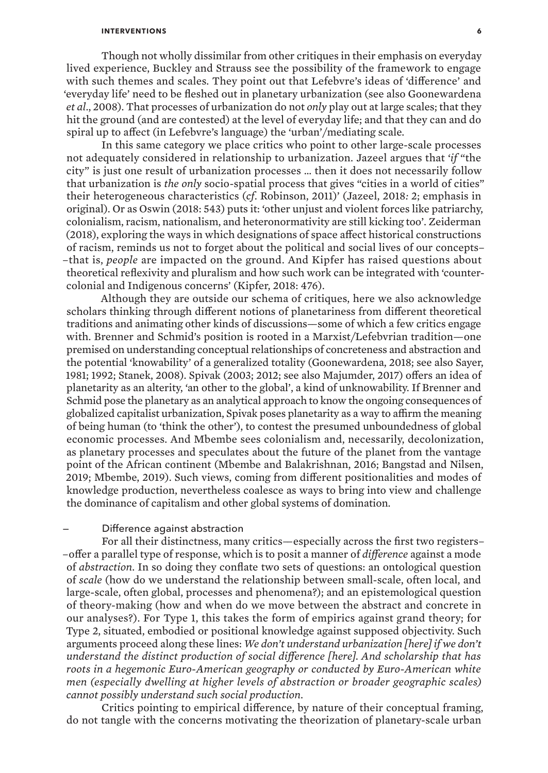Though not wholly dissimilar from other critiques in their emphasis on everyday lived experience, Buckley and Strauss see the possibility of the framework to engage with such themes and scales. They point out that Lefebvre's ideas of 'difference' and 'everyday life' need to be fleshed out in planetary urbanization (see also Goonewardena *et al*., 2008). That processes of urbanization do not *only* play out at large scales; that they hit the ground (and are contested) at the level of everyday life; and that they can and do spiral up to affect (in Lefebvre's language) the 'urban'/mediating scale.

In this same category we place critics who point to other large-scale processes not adequately considered in relationship to urbanization. Jazeel argues that '*if* "the city" is just one result of urbanization processes … then it does not necessarily follow that urbanization is *the only* socio-spatial process that gives "cities in a world of cities" their heterogeneous characteristics (*cf*. Robinson, 2011)' (Jazeel, 2018*:* 2; emphasis in original). Or as Oswin (2018: 543) puts it: 'other unjust and violent forces like patriarchy, colonialism, racism, nationalism, and heteronormativity are still kicking too'. Zeiderman (2018), exploring the ways in which designations of space affect historical constructions of racism, reminds us not to forget about the political and social lives of our concepts– –that is, *people* are impacted on the ground. And Kipfer has raised questions about theoretical reflexivity and pluralism and how such work can be integrated with 'countercolonial and Indigenous concerns' (Kipfer, 2018: 476).

Although they are outside our schema of critiques, here we also acknowledge scholars thinking through different notions of planetariness from different theoretical traditions and animating other kinds of discussions––some of which a few critics engage with. Brenner and Schmid's position is rooted in a Marxist/Lefebvrian tradition—one premised on understanding conceptual relationships of concreteness and abstraction and the potential 'knowability' of a generalized totality (Goonewardena, 2018; see also Sayer, 1981; 1992; Stanek, 2008). Spivak (2003; 2012; see also Majumder, 2017) offers an idea of planetarity as an alterity, 'an other to the global', a kind of unknowability. If Brenner and Schmid pose the planetary as an analytical approach to know the ongoing consequences of globalized capitalist urbanization, Spivak poses planetarity as a way to affirm the meaning of being human (to 'think the other'), to contest the presumed unboundedness of global economic processes. And Mbembe sees colonialism and, necessarily, decolonization, as planetary processes and speculates about the future of the planet from the vantage point of the African continent (Mbembe and Balakrishnan, 2016; Bangstad and Nilsen, 2019; Mbembe, 2019). Such views, coming from different positionalities and modes of knowledge production, nevertheless coalesce as ways to bring into view and challenge the dominance of capitalism and other global systems of domination.

### Difference against abstraction

For all their distinctness, many critics––especially across the first two registers– –offer a parallel type of response, which is to posit a manner of *difference* against a mode of *abstraction*. In so doing they conflate two sets of questions: an ontological question of *scale* (how do we understand the relationship between small-scale, often local, and large-scale, often global, processes and phenomena?); and an epistemological question of theory-making (how and when do we move between the abstract and concrete in our analyses?). For Type 1, this takes the form of empirics against grand theory; for Type 2, situated, embodied or positional knowledge against supposed objectivity. Such arguments proceed along these lines: *We don't understand urbanization [here] if we don't understand the distinct production of social difference [here]. And scholarship that has roots in a hegemonic Euro-American geography or conducted by Euro-American white men (especially dwelling at higher levels of abstraction or broader geographic scales) cannot possibly understand such social production*.

Critics pointing to empirical difference, by nature of their conceptual framing, do not tangle with the concerns motivating the theorization of planetary-scale urban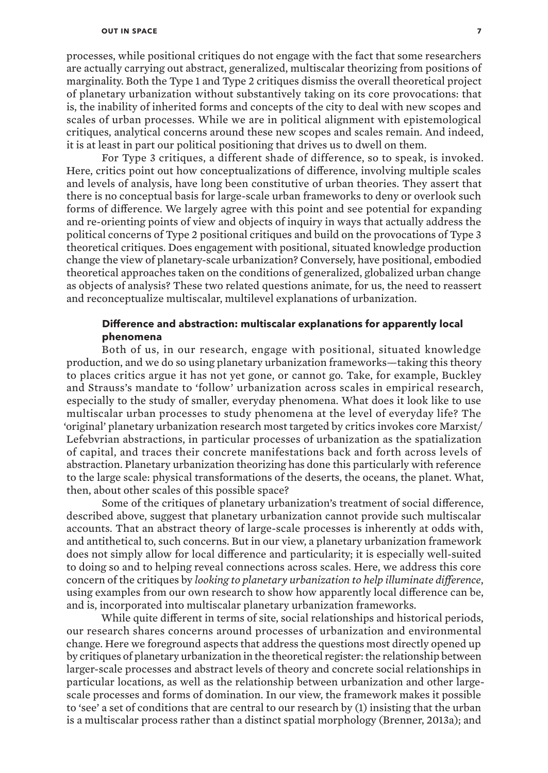processes, while positional critiques do not engage with the fact that some researchers are actually carrying out abstract, generalized, multiscalar theorizing from positions of marginality. Both the Type 1 and Type 2 critiques dismiss the overall theoretical project of planetary urbanization without substantively taking on its core provocations: that is, the inability of inherited forms and concepts of the city to deal with new scopes and scales of urban processes. While we are in political alignment with epistemological critiques, analytical concerns around these new scopes and scales remain. And indeed, it is at least in part our political positioning that drives us to dwell on them.

For Type 3 critiques, a different shade of difference, so to speak, is invoked. Here, critics point out how conceptualizations of difference, involving multiple scales and levels of analysis, have long been constitutive of urban theories. They assert that there is no conceptual basis for large-scale urban frameworks to deny or overlook such forms of difference. We largely agree with this point and see potential for expanding and re-orienting points of view and objects of inquiry in ways that actually address the political concerns of Type 2 positional critiques and build on the provocations of Type 3 theoretical critiques. Does engagement with positional, situated knowledge production change the view of planetary-scale urbanization? Conversely, have positional, embodied theoretical approaches taken on the conditions of generalized, globalized urban change as objects of analysis? These two related questions animate, for us, the need to reassert and reconceptualize multiscalar, multilevel explanations of urbanization.

### **Difference and abstraction: multiscalar explanations for apparently local phenomena**

Both of us, in our research, engage with positional, situated knowledge production, and we do so using planetary urbanization frameworks––taking this theory to places critics argue it has not yet gone, or cannot go. Take, for example, Buckley and Strauss's mandate to 'follow' urbanization across scales in empirical research, especially to the study of smaller, everyday phenomena. What does it look like to use multiscalar urban processes to study phenomena at the level of everyday life? The 'original' planetary urbanization research most targeted by critics invokes core Marxist/ Lefebvrian abstractions, in particular processes of urbanization as the spatialization of capital, and traces their concrete manifestations back and forth across levels of abstraction. Planetary urbanization theorizing has done this particularly with reference to the large scale: physical transformations of the deserts, the oceans, the planet. What, then, about other scales of this possible space?

Some of the critiques of planetary urbanization's treatment of social difference, described above, suggest that planetary urbanization cannot provide such multiscalar accounts. That an abstract theory of large-scale processes is inherently at odds with, and antithetical to, such concerns. But in our view, a planetary urbanization framework does not simply allow for local difference and particularity; it is especially well-suited to doing so and to helping reveal connections across scales. Here, we address this core concern of the critiques by *looking to planetary urbanization to help illuminate difference*, using examples from our own research to show how apparently local difference can be, and is, incorporated into multiscalar planetary urbanization frameworks.

While quite different in terms of site, social relationships and historical periods, our research shares concerns around processes of urbanization and environmental change. Here we foreground aspects that address the questions most directly opened up by critiques of planetary urbanization in the theoretical register: the relationship between larger-scale processes and abstract levels of theory and concrete social relationships in particular locations, as well as the relationship between urbanization and other largescale processes and forms of domination. In our view, the framework makes it possible to 'see' a set of conditions that are central to our research by (1) insisting that the urban is a multiscalar process rather than a distinct spatial morphology (Brenner, 2013a); and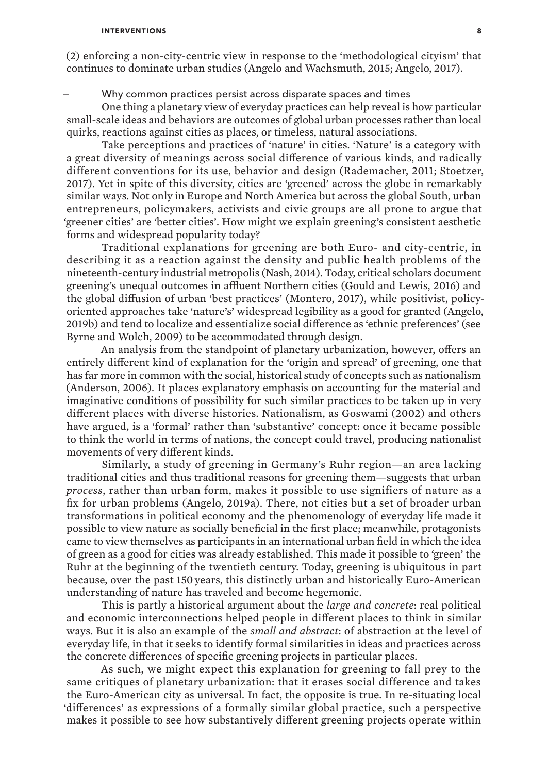(2) enforcing a non-city-centric view in response to the 'methodological cityism' that continues to dominate urban studies (Angelo and Wachsmuth, 2015; Angelo, 2017).

Why common practices persist across disparate spaces and times

One thing a planetary view of everyday practices can help reveal is how particular small-scale ideas and behaviors are outcomes of global urban processes rather than local quirks, reactions against cities as places, or timeless, natural associations.

Take perceptions and practices of 'nature' in cities. 'Nature' is a category with a great diversity of meanings across social difference of various kinds, and radically different conventions for its use, behavior and design (Rademacher, 2011; Stoetzer, 2017). Yet in spite of this diversity, cities are 'greened' across the globe in remarkably similar ways. Not only in Europe and North America but across the global South, urban entrepreneurs, policymakers, activists and civic groups are all prone to argue that 'greener cities' are 'better cities'. How might we explain greening's consistent aesthetic forms and widespread popularity today?

Traditional explanations for greening are both Euro- and city-centric, in describing it as a reaction against the density and public health problems of the nineteenth-century industrial metropolis (Nash, 2014). Today, critical scholars document greening's unequal outcomes in affluent Northern cities (Gould and Lewis, 2016) and the global diffusion of urban 'best practices' (Montero, 2017), while positivist, policyoriented approaches take 'nature's' widespread legibility as a good for granted (Angelo, 2019b) and tend to localize and essentialize social difference as 'ethnic preferences' (see Byrne and Wolch, 2009) to be accommodated through design.

An analysis from the standpoint of planetary urbanization, however, offers an entirely different kind of explanation for the 'origin and spread' of greening, one that has far more in common with the social, historical study of concepts such as nationalism (Anderson, 2006). It places explanatory emphasis on accounting for the material and imaginative conditions of possibility for such similar practices to be taken up in very different places with diverse histories. Nationalism, as Goswami (2002) and others have argued, is a 'formal' rather than 'substantive' concept: once it became possible to think the world in terms of nations, the concept could travel, producing nationalist movements of very different kinds.

Similarly, a study of greening in Germany's Ruhr region––an area lacking traditional cities and thus traditional reasons for greening them––suggests that urban *process*, rather than urban form, makes it possible to use signifiers of nature as a fix for urban problems (Angelo, 2019a). There, not cities but a set of broader urban transformations in political economy and the phenomenology of everyday life made it possible to view nature as socially beneficial in the first place; meanwhile, protagonists came to view themselves as participants in an international urban field in which the idea of green as a good for cities was already established. This made it possible to 'green' the Ruhr at the beginning of the twentieth century. Today, greening is ubiquitous in part because, over the past 150 years, this distinctly urban and historically Euro-American understanding of nature has traveled and become hegemonic.

This is partly a historical argument about the *large and concrete*: real political and economic interconnections helped people in different places to think in similar ways. But it is also an example of the *small and abstract*: of abstraction at the level of everyday life, in that it seeks to identify formal similarities in ideas and practices across the concrete differences of specific greening projects in particular places.

As such, we might expect this explanation for greening to fall prey to the same critiques of planetary urbanization: that it erases social difference and takes the Euro-American city as universal. In fact, the opposite is true. In re-situating local 'differences' as expressions of a formally similar global practice, such a perspective makes it possible to see how substantively different greening projects operate within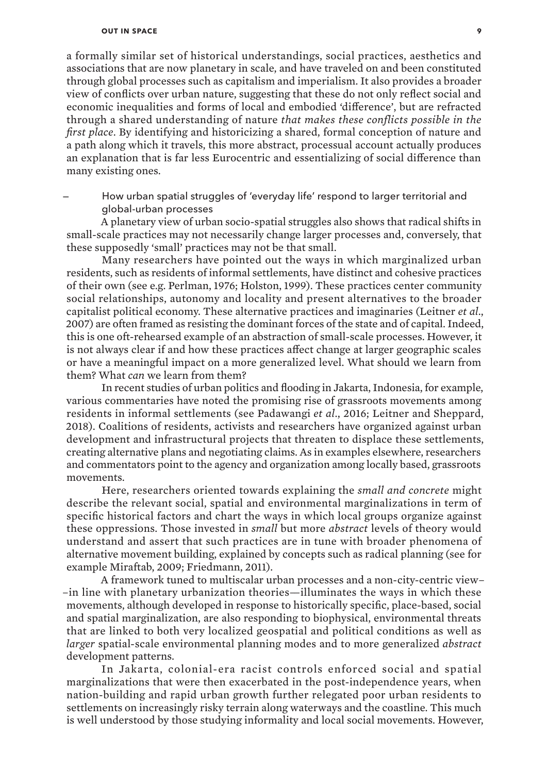a formally similar set of historical understandings, social practices, aesthetics and associations that are now planetary in scale, and have traveled on and been constituted through global processes such as capitalism and imperialism. It also provides a broader view of conflicts over urban nature, suggesting that these do not only reflect social and economic inequalities and forms of local and embodied 'difference', but are refracted through a shared understanding of nature *that makes these conflicts possible in the first place*. By identifying and historicizing a shared, formal conception of nature and a path along which it travels, this more abstract, processual account actually produces an explanation that is far less Eurocentric and essentializing of social difference than many existing ones.

— How urban spatial struggles of 'everyday life' respond to larger territorial and global-urban processes

A planetary view of urban socio-spatial struggles also shows that radical shifts in small-scale practices may not necessarily change larger processes and, conversely, that these supposedly 'small' practices may not be that small.

Many researchers have pointed out the ways in which marginalized urban residents, such as residents of informal settlements, have distinct and cohesive practices of their own (see e.g. Perlman, 1976; Holston, 1999). These practices center community social relationships, autonomy and locality and present alternatives to the broader capitalist political economy. These alternative practices and imaginaries (Leitner *et al*., 2007) are often framed as resisting the dominant forces of the state and of capital. Indeed, this is one oft-rehearsed example of an abstraction of small-scale processes. However, it is not always clear if and how these practices affect change at larger geographic scales or have a meaningful impact on a more generalized level. What should we learn from them? What *can* we learn from them?

In recent studies of urban politics and flooding in Jakarta, Indonesia, for example, various commentaries have noted the promising rise of grassroots movements among residents in informal settlements (see Padawangi *et al*., 2016; Leitner and Sheppard, 2018). Coalitions of residents, activists and researchers have organized against urban development and infrastructural projects that threaten to displace these settlements, creating alternative plans and negotiating claims. As in examples elsewhere, researchers and commentators point to the agency and organization among locally based, grassroots movements.

Here, researchers oriented towards explaining the *small and concrete* might describe the relevant social, spatial and environmental marginalizations in term of specific historical factors and chart the ways in which local groups organize against these oppressions. Those invested in *small* but more *abstract* levels of theory would understand and assert that such practices are in tune with broader phenomena of alternative movement building, explained by concepts such as radical planning (see for example Miraftab, 2009; Friedmann, 2011).

A framework tuned to multiscalar urban processes and a non-city-centric view– –in line with planetary urbanization theories––illuminates the ways in which these movements, although developed in response to historically specific, place-based, social and spatial marginalization, are also responding to biophysical, environmental threats that are linked to both very localized geospatial and political conditions as well as *larger* spatial*-*scale environmental planning modes and to more generalized *abstract* development patterns.

In Jakarta, colonial-era racist controls enforced social and spatial marginalizations that were then exacerbated in the post-independence years, when nation-building and rapid urban growth further relegated poor urban residents to settlements on increasingly risky terrain along waterways and the coastline. This much is well understood by those studying informality and local social movements. However,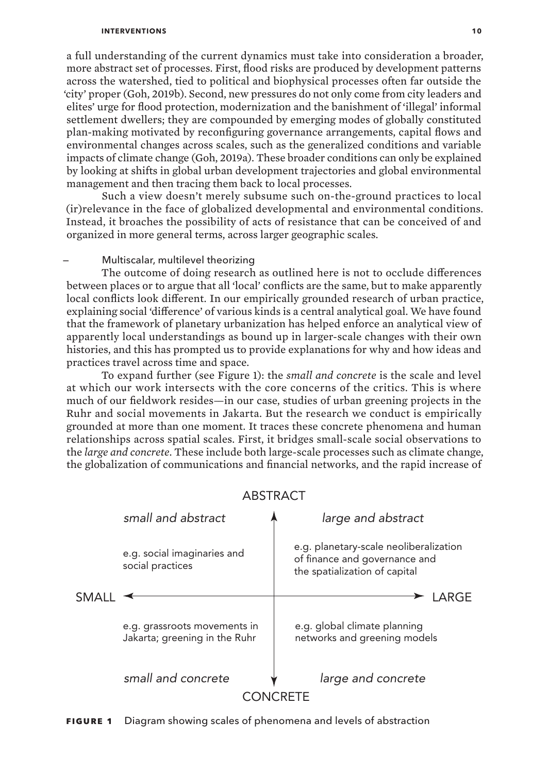a full understanding of the current dynamics must take into consideration a broader, more abstract set of processes. First, flood risks are produced by development patterns across the watershed, tied to political and biophysical processes often far outside the 'city' proper (Goh, 2019b). Second, new pressures do not only come from city leaders and elites' urge for flood protection, modernization and the banishment of 'illegal' informal settlement dwellers; they are compounded by emerging modes of globally constituted plan-making motivated by reconfiguring governance arrangements, capital flows and environmental changes across scales, such as the generalized conditions and variable impacts of climate change (Goh, 2019a). These broader conditions can only be explained by looking at shifts in global urban development trajectories and global environmental management and then tracing them back to local processes.

Such a view doesn't merely subsume such on-the-ground practices to local (ir)relevance in the face of globalized developmental and environmental conditions. Instead, it broaches the possibility of acts of resistance that can be conceived of and organized in more general terms, across larger geographic scales.

### — Multiscalar, multilevel theorizing

The outcome of doing research as outlined here is not to occlude differences between places or to argue that all 'local' conflicts are the same, but to make apparently local conflicts look different. In our empirically grounded research of urban practice, explaining social 'difference' of various kinds is a central analytical goal. We have found that the framework of planetary urbanization has helped enforce an analytical view of apparently local understandings as bound up in larger-scale changes with their own histories, and this has prompted us to provide explanations for why and how ideas and practices travel across time and space.

To expand further (see Figure 1): the *small and concrete* is the scale and level at which our work intersects with the core concerns of the critics. This is where much of our fieldwork resides––in our case, studies of urban greening projects in the Ruhr and social movements in Jakarta. But the research we conduct is empirically grounded at more than one moment. It traces these concrete phenomena and human relationships across spatial scales. First, it bridges small-scale social observations to the *large and concrete*. These include both large-scale processes such as climate change, the globalization of communications and financial networks, and the rapid increase of



## ABSTRACT

**Figure 1** Diagram showing scales of phenomena and levels of abstraction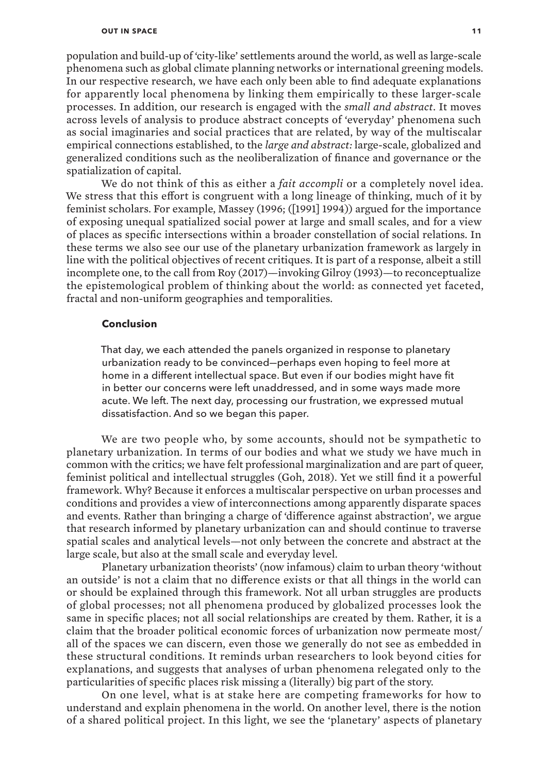population and build-up of 'city-like' settlements around the world, as well as large-scale phenomena such as global climate planning networks or international greening models. In our respective research, we have each only been able to find adequate explanations for apparently local phenomena by linking them empirically to these larger-scale processes. In addition, our research is engaged with the *small and abstract*. It moves across levels of analysis to produce abstract concepts of 'everyday' phenomena such as social imaginaries and social practices that are related, by way of the multiscalar empirical connections established, to the *large and abstract:* large-scale, globalized and generalized conditions such as the neoliberalization of finance and governance or the spatialization of capital.

We do not think of this as either a *fait accompli* or a completely novel idea. We stress that this effort is congruent with a long lineage of thinking, much of it by feminist scholars. For example, Massey (1996; ([1991] 1994)) argued for the importance of exposing unequal spatialized social power at large and small scales, and for a view of places as specific intersections within a broader constellation of social relations. In these terms we also see our use of the planetary urbanization framework as largely in line with the political objectives of recent critiques. It is part of a response, albeit a still incomplete one, to the call from Roy (2017)––invoking Gilroy (1993)––to reconceptualize the epistemological problem of thinking about the world: as connected yet faceted, fractal and non-uniform geographies and temporalities.

### **Conclusion**

That day, we each attended the panels organized in response to planetary urbanization ready to be convinced–perhaps even hoping to feel more at home in a different intellectual space. But even if our bodies might have fit in better our concerns were left unaddressed, and in some ways made more acute. We left. The next day, processing our frustration, we expressed mutual dissatisfaction. And so we began this paper.

We are two people who, by some accounts, should not be sympathetic to planetary urbanization. In terms of our bodies and what we study we have much in common with the critics; we have felt professional marginalization and are part of queer, feminist political and intellectual struggles (Goh, 2018). Yet we still find it a powerful framework. Why? Because it enforces a multiscalar perspective on urban processes and conditions and provides a view of interconnections among apparently disparate spaces and events. Rather than bringing a charge of 'difference against abstraction', we argue that research informed by planetary urbanization can and should continue to traverse spatial scales and analytical levels––not only between the concrete and abstract at the large scale, but also at the small scale and everyday level.

Planetary urbanization theorists' (now infamous) claim to urban theory 'without an outside' is not a claim that no difference exists or that all things in the world can or should be explained through this framework. Not all urban struggles are products of global processes; not all phenomena produced by globalized processes look the same in specific places; not all social relationships are created by them. Rather, it is a claim that the broader political economic forces of urbanization now permeate most/ all of the spaces we can discern, even those we generally do not see as embedded in these structural conditions. It reminds urban researchers to look beyond cities for explanations, and suggests that analyses of urban phenomena relegated only to the particularities of specific places risk missing a (literally) big part of the story.

On one level, what is at stake here are competing frameworks for how to understand and explain phenomena in the world. On another level, there is the notion of a shared political project. In this light, we see the 'planetary' aspects of planetary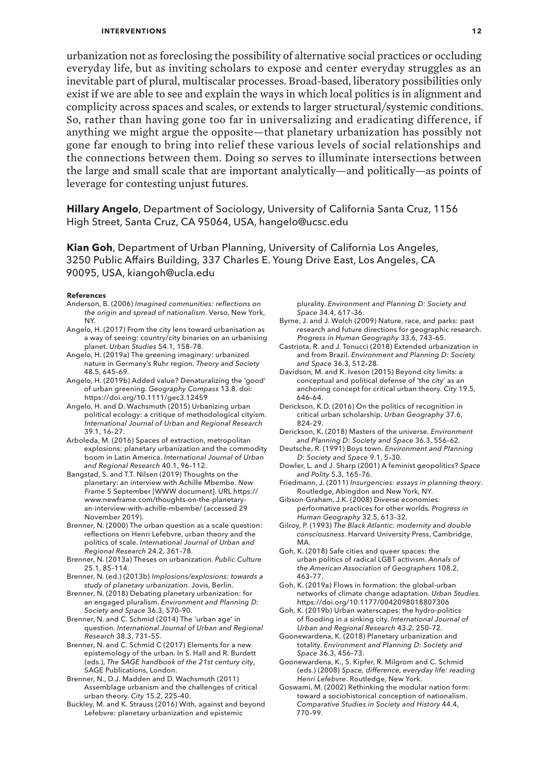urbanization not as foreclosing the possibility of alternative social practices or occluding everyday life, but as inviting scholars to expose and center everyday struggles as an inevitable part of plural, multiscalar processes. Broad-based, liberatory possibilities only exist if we are able to see and explain the ways in which local politics is in alignment and complicity across spaces and scales, or extends to larger structural/systemic conditions. So, rather than having gone too far in universalizing and eradicating difference, if anything we might argue the opposite––that planetary urbanization has possibly not gone far enough to bring into relief these various levels of social relationships and the connections between them. Doing so serves to illuminate intersections between the large and small scale that are important analytically––and politically––as points of leverage for contesting unjust futures.

**Hillary Angelo**, Department of Sociology, University of California Santa Cruz, 1156 High Street, Santa Cruz, CA 95064, USA, hangelo@ucsc.edu

**Kian Goh**, Department of Urban Planning, University of California Los Angeles, 3250 Public Affairs Building, 337 Charles E. Young Drive East, Los Angeles, CA 90095, USA, kiangoh@ucla.edu

#### **References**

- Anderson, B. (2006) *Imagined communities: reflections on the origin and spread of nationalism*. Verso, New York, NY.
- Angelo, H. (2017) From the city lens toward urbanisation as a way of seeing: country/city binaries on an urbanising planet. *Urban Studies* 54.1, 158–78.
- Angelo, H. (2019a) The greening imaginary: urbanized nature in Germany's Ruhr region. *Theory and Society* 48.5, 645–69.
- Angelo, H. (2019b) Added value? Denaturalizing the 'good' of urban greening. *Geography Compass* 13.8. doi: https://doi.org/10.1111/gec3.12459
- Angelo, H. and D. Wachsmuth (2015) Urbanizing urban political ecology: a critique of methodological cityism. *International Journal of Urban and Regional Research* 39.1, 16–27.
- Arboleda, M. (2016) Spaces of extraction, metropolitan explosions: planetary urbanization and the commodity boom in Latin America. *International Journal of Urban and Regional Research* 40.1, 96–112.
- Bangstad, S. and T.T. Nilsen (2019) Thoughts on the planetary: an interview with Achille Mbembe. *New Frame* 5 September [WWW document]. URL https:// www.newframe.com/thoughts-on-the-planetaryan-interview-with-achille-mbembe/ (accessed 29 November 2019).
- Brenner, N. (2000) The urban question as a scale question: reflections on Henri Lefebvre, urban theory and the politics of scale. *International Journal of Urban and Regional Research* 24.2, 361–78.
- Brenner, N. (2013a) Theses on urbanization. *Public Culture* 25.1, 85–114.
- Brenner, N. (ed.) (2013b) *Implosions/explosions: towards a study of planetary urbanization*. Jovis, Berlin.
- Brenner, N. (2018) Debating planetary urbanization: for an engaged pluralism. *Environment and Planning D: Society and Space* 36.3, 570–90.
- Brenner, N. and C. Schmid (2014) The 'urban age' in question. *International Journal of Urban and Regional Research* 38.3, 731–55.
- Brenner, N. and C. Schmid C (2017) Elements for a new epistemology of the urban. In S. Hall and R. Burdett (eds.), *The SAGE handbook of the 21st century city*, SAGE Publications, London.
- Brenner, N., D.J. Madden and D. Wachsmuth (2011) Assemblage urbanism and the challenges of critical urban theory. *City* 15.2, 225–40.
- Buckley, M. and K. Strauss (2016) With, against and beyond Lefebvre: planetary urbanization and epistemic

plurality. *Environment and Planning D: Society and Space* 34.4, 617–36.

- Byrne, J. and J. Wolch (2009) Nature, race, and parks: past research and future directions for geographic research. *Progress in Human Geography* 33.6, 743–65.
- Castriota, R. and J. Tonucci (2018) Extended urbanization in and from Brazil. *Environment and Planning D: Society and Space* 36.3, 512–28.
- Davidson, M. and K. Iveson (2015) Beyond city limits: a conceptual and political defense of 'the city' as an anchoring concept for critical urban theory. *City* 19.5, 646–64.
- Derickson, K.D. (2016) On the politics of recognition in critical urban scholarship. *Urban Geography* 37.6, 824–29.
- Derickson, K. (2018) Masters of the universe. *Environment and Planning D: Society and Space* 36.3, 556–62.
- Deutsche, R. (1991) Boys town. *Environment and Planning D: Society and Space* 9.1, 5–30.
- Dowler, L. and J. Sharp (2001) A feminist geopolitics? *Space and Polity* 5.3, 165–76.
- Friedmann, J. (2011) *Insurgencies: essays in planning theory*. Routledge, Abingdon and New York, NY.
- Gibson-Graham, J.K. (2008) Diverse economies: performative practices for other worlds. *Progress in Human Geography* 32.5, 613–32.
- Gilroy, P. (1993) *The Black Atlantic: modernity and double consciousness*. Harvard University Press, Cambridge, MA.
- Goh, K. (2018) Safe cities and queer spaces: the urban politics of radical LGBT activism. *Annals of the American Association of Geographers* 108.2, 463–77.
- Goh, K. (2019a) Flows in formation: the global-urban networks of climate change adaptation. *Urban Studies.* https://doi.org/10.1177/0042098018807306
- Goh, K. (2019b) Urban waterscapes: the hydro-politics of flooding in a sinking city. *International Journal of Urban and Regional Research* 43.2, 250–72.
- Goonewardena, K. (2018) Planetary urbanization and totality. *Environment and Planning D: Society and Space* 36.3, 456–73.
- Goonewardena, K., S. Kipfer, R. Milgrom and C. Schmid (eds.) (2008) *Space, difference, everyday life: reading Henri Lefebvre*. Routledge, New York.
- Goswami, M. (2002) Rethinking the modular nation form: toward a sociohistorical conception of nationalism. *Comparative Studies in Society and History* 44.4, 770–99.